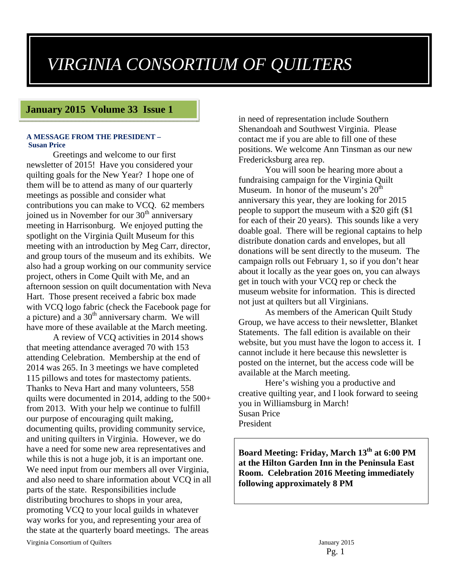# *VIRGINIA CONSORTIUM OF QUILTERS*

#### **January 2015 Volume 33 Issue 1**

#### **A MESSAGE FROM THE PRESIDENT – Susan Price**

Greetings and welcome to our first newsletter of 2015! Have you considered your quilting goals for the New Year? I hope one of them will be to attend as many of our quarterly meetings as possible and consider what contributions you can make to VCQ. 62 members joined us in November for our  $30<sup>th</sup>$  anniversary meeting in Harrisonburg. We enjoyed putting the spotlight on the Virginia Quilt Museum for this meeting with an introduction by Meg Carr, director, and group tours of the museum and its exhibits. We also had a group working on our community service project, others in Come Quilt with Me, and an afternoon session on quilt documentation with Neva Hart. Those present received a fabric box made with VCQ logo fabric (check the Facebook page for a picture) and a  $30<sup>th</sup>$  anniversary charm. We will have more of these available at the March meeting.

A review of VCQ activities in 2014 shows that meeting attendance averaged 70 with 153 attending Celebration. Membership at the end of 2014 was 265. In 3 meetings we have completed 115 pillows and totes for mastectomy patients. Thanks to Neva Hart and many volunteers, 558 quilts were documented in 2014, adding to the 500+ from 2013. With your help we continue to fulfill our purpose of encouraging quilt making, documenting quilts, providing community service, and uniting quilters in Virginia. However, we do have a need for some new area representatives and while this is not a huge job, it is an important one. We need input from our members all over Virginia, and also need to share information about VCQ in all parts of the state. Responsibilities include distributing brochures to shops in your area, promoting VCQ to your local guilds in whatever way works for you, and representing your area of the state at the quarterly board meetings. The areas

in need of representation include Southern Shenandoah and Southwest Virginia. Please contact me if you are able to fill one of these positions. We welcome Ann Tinsman as our new Fredericksburg area rep.

You will soon be hearing more about a fundraising campaign for the Virginia Quilt Museum. In honor of the museum's  $20<sup>th</sup>$ anniversary this year, they are looking for 2015 people to support the museum with a \$20 gift (\$1 for each of their 20 years). This sounds like a very doable goal. There will be regional captains to help distribute donation cards and envelopes, but all donations will be sent directly to the museum. The campaign rolls out February 1, so if you don't hear about it locally as the year goes on, you can always get in touch with your VCQ rep or check the museum website for information. This is directed not just at quilters but all Virginians.

As members of the American Quilt Study Group, we have access to their newsletter, Blanket Statements. The fall edition is available on their website, but you must have the logon to access it. I cannot include it here because this newsletter is posted on the internet, but the access code will be available at the March meeting.

Here's wishing you a productive and creative quilting year, and I look forward to seeing you in Williamsburg in March! Susan Price President

**Board Meeting: Friday, March 13th at 6:00 PM at the Hilton Garden Inn in the Peninsula East Room. Celebration 2016 Meeting immediately following approximately 8 PM**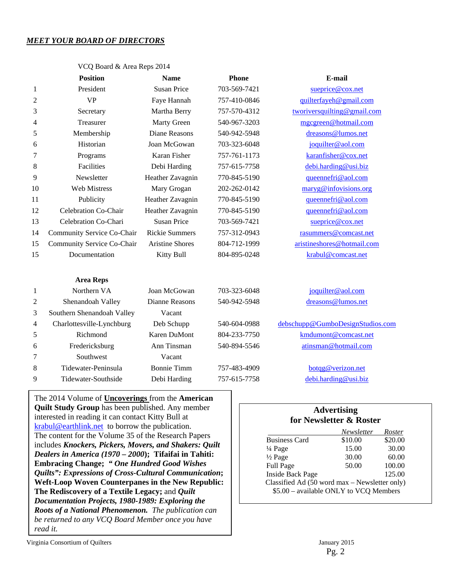#### *MEET YOUR BOARD OF DIRECTORS*

|    | <b>Position</b>            | <b>Name</b>            | <b>Phone</b> | E-mail                      |
|----|----------------------------|------------------------|--------------|-----------------------------|
| 1  | President                  | <b>Susan Price</b>     | 703-569-7421 | sueprice@cox.net            |
| 2  | <b>VP</b>                  | Faye Hannah            | 757-410-0846 | quilterfayeh@gmail.com      |
| 3  | Secretary                  | Martha Berry           | 757-570-4312 | tworiversquilting@gmail.com |
| 4  | Treasurer                  | Marty Green            | 540-967-3203 | mgcgreen@hotmail.com        |
| 5  | Membership                 | Diane Reasons          | 540-942-5948 | dreasons@lumos.net          |
| 6  | Historian                  | Joan McGowan           | 703-323-6048 | joquilter@aol.com           |
| 7  | Programs                   | Karan Fisher           | 757-761-1173 | karanfisher@cox.net         |
| 8  | Facilities                 | Debi Harding           | 757-615-7758 | debi.harding@usi.biz        |
| 9  | Newsletter                 | Heather Zavagnin       | 770-845-5190 | queennefri@aol.com          |
| 10 | <b>Web Mistress</b>        | Mary Grogan            | 202-262-0142 | maryg@infovisions.org       |
| 11 | Publicity                  | Heather Zavagnin       | 770-845-5190 | queennefri@aol.com          |
| 12 | Celebration Co-Chair       | Heather Zavagnin       | 770-845-5190 | queennefri@aol.com          |
| 13 | Celebration Co-Chari       | Susan Price            | 703-569-7421 | sueprice@cox.net            |
| 14 | Community Service Co-Chair | <b>Rickie Summers</b>  | 757-312-0943 | rasummers@comcast.net       |
| 15 | Community Service Co-Chair | <b>Aristine Shores</b> | 804-712-1999 | aristineshores@hotmail.com  |
| 15 | Documentation              | <b>Kitty Bull</b>      | 804-895-0248 | krabul@comcast.net          |
|    | <b>Area Reps</b>           |                        |              |                             |
| 1  | Northern VA                | Joan McGowan           | 703-323-6048 | joquilter@aol.com           |

VCO Board & Area Reps 2014

|   | Area Reps                  |                    |              |                                  |
|---|----------------------------|--------------------|--------------|----------------------------------|
| 1 | Northern VA                | Joan McGowan       | 703-323-6048 | joquilter@aol.com                |
| 2 | Shenandoah Valley          | Dianne Reasons     | 540-942-5948 | dreasons@lumos.net               |
| 3 | Southern Shenandoah Valley | Vacant             |              |                                  |
| 4 | Charlottesville-Lynchburg  | Deb Schupp         | 540-604-0988 | debschupp@GumboDesignStudios.com |
| 5 | Richmond                   | Karen DuMont       | 804-233-7750 | kmdumont@comcast.net             |
| 6 | Fredericksburg             | Ann Tinsman        | 540-894-5546 | atinsman@hotmail.com             |
| 7 | Southwest                  | Vacant             |              |                                  |
| 8 | Tidewater-Peninsula        | <b>Bonnie Timm</b> | 757-483-4909 | botqg@verizon.net                |
| 9 | Tidewater-Southside        | Debi Harding       | 757-615-7758 | debi.harding@usi.biz             |
|   |                            |                    |              |                                  |

The 2014 Volume of **Uncoverings** from the **American Quilt Study Group** has been published. Any member interested in reading it can contact Kitty Bull at krabul@earthlink.net to borrow the publication. The content for the Volume 35 of the Research Papers includes *Knockers, Pickers, Movers, and Shakers: Quilt Dealers in America (1970 – 2000***); Tifaifai in Tahiti: Embracing Change;** *" One Hundred Good Wishes Quilts": Expressions of Cross-Cultural Communication***; Weft-Loop Woven Counterpanes in the New Republic: The Rediscovery of a Textile Legacy;** and *Quilt Documentation Projects, 1980-1989: Exploring the Roots of a National Phenomenon. The publication can be returned to any VCQ Board Member once you have read it.* 

| <b>Advertising</b><br>for Newsletter & Roster |            |         |  |
|-----------------------------------------------|------------|---------|--|
|                                               | Newsletter | Roster  |  |
| Business Card                                 | \$10.00    | \$20.00 |  |
| ¼ Page                                        | 15.00      | 30.00   |  |

| $\frac{1}{4}$ Page                            | 15.00 | 30.00  |
|-----------------------------------------------|-------|--------|
| $\frac{1}{2}$ Page                            | 30.00 | 60.00  |
| Full Page                                     | 50.00 | 100.00 |
| <b>Inside Back Page</b>                       |       | 125.00 |
| Classified Ad (50 word max – Newsletter only) |       |        |
| \$5.00 - available ONLY to VCQ Members        |       |        |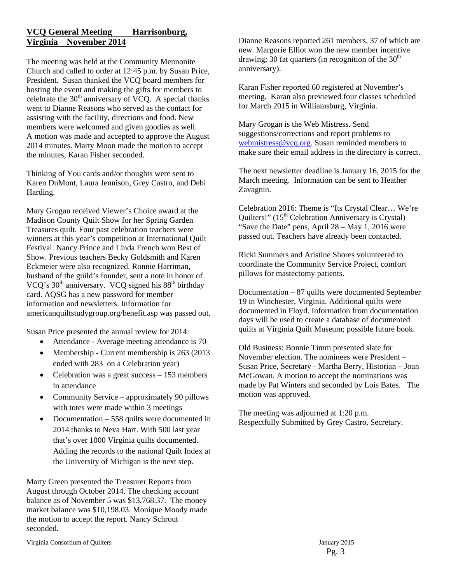#### **VCQ General Meeting Harrisonburg, Virginia November 2014**

The meeting was held at the Community Mennonite Church and called to order at 12:45 p.m. by Susan Price, President. Susan thanked the VCQ board members for hosting the event and making the gifts for members to celebrate the  $30<sup>th</sup>$  anniversary of VCQ. A special thanks went to Dianne Reasons who served as the contact for assisting with the facility, directions and food. New members were welcomed and given goodies as well. A motion was made and accepted to approve the August 2014 minutes. Marty Moon made the motion to accept the minutes, Karan Fisher seconded.

Thinking of You cards and/or thoughts were sent to Karen DuMont, Laura Jennison, Grey Castro, and Debi Harding.

Mary Grogan received Viewer's Choice award at the Madison County Quilt Show for her Spring Garden Treasures quilt. Four past celebration teachers were winners at this year's competition at International Quilt Festival. Nancy Prince and Linda French won Best of Show. Previous teachers Becky Goldsmith and Karen Eckmeier were also recognized. Ronnie Harriman, husband of the guild's founder, sent a note in honor of VCQ's  $30<sup>th</sup>$  anniversary. VCQ signed his  $88<sup>th</sup>$  birthday card. AQSG has a new password for member information and newsletters. Information for americanquiltstudygroup.org/benefit.asp was passed out.

Susan Price presented the annual review for 2014:

- Attendance Average meeting attendance is 70
- Membership Current membership is 263 (2013) ended with 283 on a Celebration year)
- Celebration was a great success 153 members in attendance
- Community Service approximately 90 pillows with totes were made within 3 meetings
- Documentation 558 quilts were documented in 2014 thanks to Neva Hart. With 500 last year that's over 1000 Virginia quilts documented. Adding the records to the national Quilt Index at the University of Michigan is the next step.

Marty Green presented the Treasurer Reports from August through October 2014. The checking account balance as of November 5 was \$13,768.37. The money market balance was \$10,198.03. Monique Moody made the motion to accept the report. Nancy Schrout seconded.

Dianne Reasons reported 261 members, 37 of which are new. Margorie Elliot won the new member incentive drawing; 30 fat quarters (in recognition of the  $30<sup>th</sup>$ anniversary).

Karan Fisher reported 60 registered at November's meeting. Karan also previewed four classes scheduled for March 2015 in Williamsburg, Virginia.

Mary Grogan is the Web Mistress. Send suggestions/corrections and report problems to webmistress@vcq.org. Susan reminded members to make sure their email address in the directory is correct.

The next newsletter deadline is January 16, 2015 for the March meeting. Information can be sent to Heather Zavagnin.

Celebration 2016: Theme is "Its Crystal Clear… We're Quilters!"  $(15<sup>th</sup>$  Celebration Anniversary is Crystal) "Save the Date" pens, April 28 – May 1, 2016 were passed out. Teachers have already been contacted.

Ricki Summers and Aristine Shores volunteered to coordinate the Community Service Project, comfort pillows for mastectomy patients.

Documentation – 87 quilts were documented September 19 in Winchester, Virginia. Additional quilts were documented in Floyd. Information from documentation days will be used to create a database of documented quilts at Virginia Quilt Museum; possible future book.

Old Business: Bonnie Timm presented slate for November election. The nominees were President – Susan Price, Secretary - Martha Berry, Historian – Joan McGowan. A motion to accept the nominations was made by Pat Winters and seconded by Lois Bates. The motion was approved.

The meeting was adjourned at 1:20 p.m. Respectfully Submitted by Grey Castro, Secretary.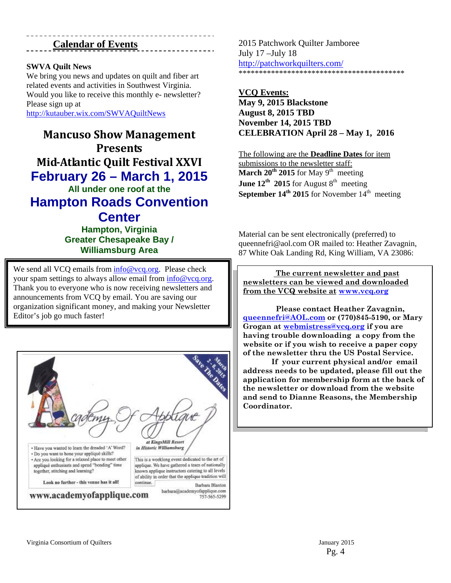#### **Calendar of Events**

#### **SWVA Quilt News**

We bring you news and updates on quilt and fiber art related events and activities in Southwest Virginia. Would you like to receive this monthly e- newsletter? Please sign up at

http://kutauber.wix.com/SWVAQuiltNews

**Mancuso Show Management Presents Mid‐Atlantic Quilt Festival XXVI February 26 – March 1, 2015 All under one roof at the Hampton Roads Convention Center** 

**Hampton, Virginia Greater Chesapeake Bay / Williamsburg Area**

We send all VCQ emails from info@vcq.org. Please check your spam settings to always allow email from info@vcq.org. Thank you to everyone who is now receiving newsletters and announcements from VCQ by email. You are saving our organization significant money, and making your Newsletter Editor's job go much faster!



2015 Patchwork Quilter Jamboree July 17 –July 18 http://patchworkquilters.com/ \*\*\*\*\*\*\*\*\*\*\*\*\*\*\*\*\*\*\*\*\*\*\*\*\*\*\*\*\*\*\*\*\*\*\*\*\*\*\*\*\*

**VCQ Events: May 9, 2015 Blackstone August 8, 2015 TBD November 14, 2015 TBD CELEBRATION April 28 – May 1, 2016** 

The following are the **Deadline Dates** for item submissions to the newsletter staff: March 20<sup>th</sup> 2015 for May 9<sup>th</sup> meeting **June 12<sup>th</sup> 2015** for August  $8<sup>th</sup>$  meeting **September 14<sup>th</sup> 2015** for November  $14$ <sup>th</sup> meeting

Material can be sent electronically (preferred) to queennefri@aol.com OR mailed to: Heather Zavagnin, 87 White Oak Landing Rd, King William, VA 23086:

 **The current newsletter and past newsletters can be viewed and downloaded from the VCQ website at www.vcq.org**

 **Please contact Heather Zavagnin, queennefri@AOL.com or (770)845-5190, or Mary Grogan at webmistress@vcq.org if you are having trouble downloading a copy from the website or if you wish to receive a paper copy of the newsletter thru the US Postal Service.** 

 **If your current physical and/or email address needs to be updated, please fill out the application for membership form at the back of the newsletter or download from the website and send to Dianne Reasons, the Membership Coordinator.**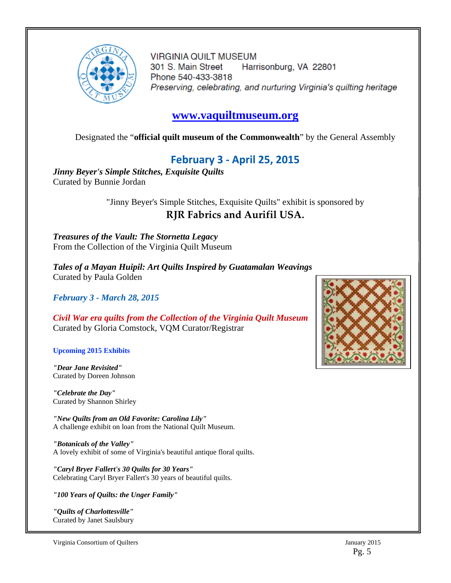

**VIRGINIA QUILT MUSEUM** 301 S. Main Street Harrisonburg, VA 22801 Phone 540-433-3818 Preserving, celebrating, and nurturing Virginia's quilting heritage

### **www.vaquiltmuseum.org**

Designated the "**official quilt museum of the Commonwealth**" by the General Assembly

## **February 3 ‐ April 25, 2015**

*Jinny Beyer's Simple Stitches, Exquisite Quilts* Curated by Bunnie Jordan

> "Jinny Beyer's Simple Stitches, Exquisite Quilts" exhibit is sponsored by **RJR Fabrics and Aurifil USA.**

*Treasures of the Vault: The Stornetta Legacy* From the Collection of the Virginia Quilt Museum

*Tales of a Mayan Huipil: Art Quilts Inspired by Guatamalan Weavings* Curated by Paula Golden

*February 3 - March 28, 2015*

*Civil War era quilts from the Collection of the Virginia Quilt Museum* Curated by Gloria Comstock, VQM Curator/Registrar

**Upcoming 2015 Exhibits**

*"Dear Jane Revisited"* Curated by Doreen Johnson

*"Celebrate the Day"* Curated by Shannon Shirley

*"New Quilts from an Old Favorite: Carolina Lily"* A challenge exhibit on loan from the National Quilt Museum.

*"Botanicals of the Valley"* A lovely exhibit of some of Virginia's beautiful antique floral quilts.

*"Caryl Bryer Fallert's 30 Quilts for 30 Years"* Celebrating Caryl Bryer Fallert's 30 years of beautiful quilts.

*"100 Years of Quilts: the Unger Family"*

*"Quilts of Charlottesville"* Curated by Janet Saulsbury

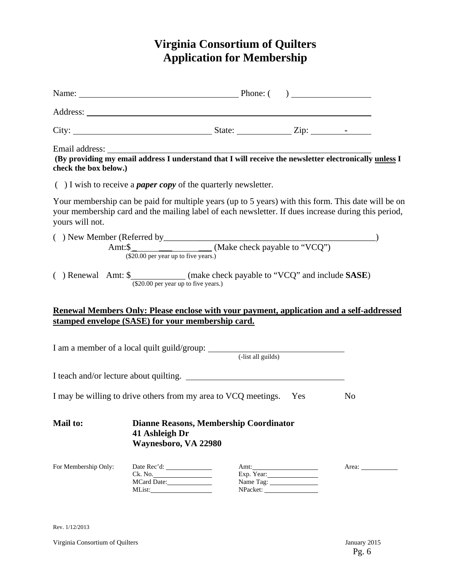# **Virginia Consortium of Quilters Application for Membership**

| check the box below.)                                                         |                                        |                                               |                        | Email address: The address of the set of the set of the set of the set of the set of the set of the providing my email address I understand that I will receive the newsletter electronically unless I     |
|-------------------------------------------------------------------------------|----------------------------------------|-----------------------------------------------|------------------------|------------------------------------------------------------------------------------------------------------------------------------------------------------------------------------------------------------|
| $( )$ I wish to receive a <i>paper copy</i> of the quarterly newsletter.      |                                        |                                               |                        |                                                                                                                                                                                                            |
| yours will not.                                                               |                                        |                                               |                        | Your membership can be paid for multiple years (up to 5 years) with this form. This date will be on<br>your membership card and the mailing label of each newsletter. If dues increase during this period, |
|                                                                               | $(\$20.00$ per year up to five years.) |                                               |                        |                                                                                                                                                                                                            |
| () Renewal Amt: \$_____________(make check payable to "VCQ" and include SASE) | (\$20.00 per year up to five years.)   |                                               |                        |                                                                                                                                                                                                            |
|                                                                               |                                        |                                               |                        | Renewal Members Only: Please enclose with your payment, application and a self-addressed                                                                                                                   |
| stamped envelope (SASE) for your membership card.                             |                                        |                                               |                        |                                                                                                                                                                                                            |
| I am a member of a local quilt guild/group: (-list all guilds)                |                                        |                                               |                        |                                                                                                                                                                                                            |
| I teach and/or lecture about quilting.                                        |                                        |                                               |                        |                                                                                                                                                                                                            |
| I may be willing to drive others from my area to VCQ meetings. Yes            |                                        |                                               |                        | N <sub>0</sub>                                                                                                                                                                                             |
| <b>Mail to:</b>                                                               | 41 Ashleigh Dr<br>Waynesboro, VA 22980 | <b>Dianne Reasons, Membership Coordinator</b> |                        |                                                                                                                                                                                                            |
| For Membership Only:                                                          | MList:                                 |                                               | Exp. Year:<br>NPacket: |                                                                                                                                                                                                            |

Rev. 1/12/2013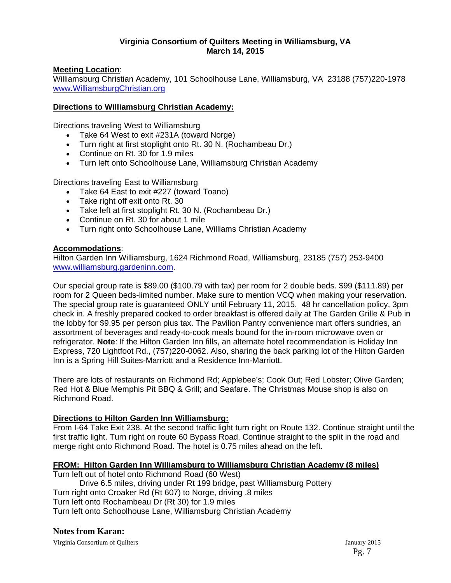#### **Virginia Consortium of Quilters Meeting in Williamsburg, VA March 14, 2015**

#### **Meeting Location**:

Williamsburg Christian Academy, 101 Schoolhouse Lane, Williamsburg, VA 23188 (757)220-1978 www.WilliamsburgChristian.org

#### **Directions to Williamsburg Christian Academy:**

Directions traveling West to Williamsburg

- Take 64 West to exit #231A (toward Norge)
- Turn right at first stoplight onto Rt. 30 N. (Rochambeau Dr.)
- Continue on Rt. 30 for 1.9 miles
- Turn left onto Schoolhouse Lane, Williamsburg Christian Academy

Directions traveling East to Williamsburg

- Take 64 East to exit #227 (toward Toano)
- Take right off exit onto Rt. 30
- Take left at first stoplight Rt. 30 N. (Rochambeau Dr.)
- Continue on Rt. 30 for about 1 mile
- Turn right onto Schoolhouse Lane, Williams Christian Academy

#### **Accommodations**:

Hilton Garden Inn Williamsburg, 1624 Richmond Road, Williamsburg, 23185 (757) 253-9400 www.williamsburg.gardeninn.com.

Our special group rate is \$89.00 (\$100.79 with tax) per room for 2 double beds. \$99 (\$111.89) per room for 2 Queen beds-limited number. Make sure to mention VCQ when making your reservation. The special group rate is guaranteed ONLY until February 11, 2015. 48 hr cancellation policy, 3pm check in. A freshly prepared cooked to order breakfast is offered daily at The Garden Grille & Pub in the lobby for \$9.95 per person plus tax. The Pavilion Pantry convenience mart offers sundries, an assortment of beverages and ready-to-cook meals bound for the in-room microwave oven or refrigerator. **Note**: If the Hilton Garden Inn fills, an alternate hotel recommendation is Holiday Inn Express, 720 Lightfoot Rd., (757)220-0062. Also, sharing the back parking lot of the Hilton Garden Inn is a Spring Hill Suites-Marriott and a Residence Inn-Marriott.

There are lots of restaurants on Richmond Rd; Applebee's; Cook Out; Red Lobster; Olive Garden; Red Hot & Blue Memphis Pit BBQ & Grill; and Seafare. The Christmas Mouse shop is also on Richmond Road.

#### **Directions to Hilton Garden Inn Williamsburg:**

From I-64 Take Exit 238. At the second traffic light turn right on Route 132. Continue straight until the first traffic light. Turn right on route 60 Bypass Road. Continue straight to the split in the road and merge right onto Richmond Road. The hotel is 0.75 miles ahead on the left.

#### **FROM: Hilton Garden Inn Williamsburg to Williamsburg Christian Academy (8 miles)**

Turn left out of hotel onto Richmond Road (60 West) Drive 6.5 miles, driving under Rt 199 bridge, past Williamsburg Pottery Turn right onto Croaker Rd (Rt 607) to Norge, driving .8 miles Turn left onto Rochambeau Dr (Rt 30) for 1.9 miles Turn left onto Schoolhouse Lane, Williamsburg Christian Academy

#### **Notes from Karan:**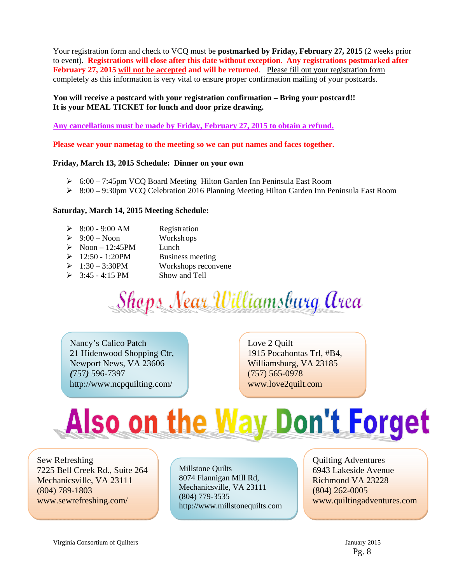Your registration form and check to VCQ must be **postmarked by Friday, February 27, 2015** (2 weeks prior to event). **Registrations will close after this date without exception. Any registrations postmarked after February 27, 2015 will not be accepted and will be returned**. Please fill out your registration form completely as this information is very vital to ensure proper confirmation mailing of your postcards.

#### **You will receive a postcard with your registration confirmation – Bring your postcard!! It is your MEAL TICKET for lunch and door prize drawing.**

**Any cancellations must be made by Friday, February 27, 2015 to obtain a refund.** 

**Please wear your nametag to the meeting so we can put names and faces together.** 

#### **Friday, March 13, 2015 Schedule: Dinner on your own**

- 6:00 7:45pm VCQ Board Meeting Hilton Garden Inn Peninsula East Room
- 8:00 9:30pm VCQ Celebration 2016 Planning Meeting Hilton Garden Inn Peninsula East Room

#### **Saturday, March 14, 2015 Meeting Schedule:**

| ➤ | 8:00 - 9:00 AM       | Registration |
|---|----------------------|--------------|
|   | $\sim$ $\sim$ $\sim$ |              |

- $\geq 9:00$  Noon Workshops
- $\triangleright$  Noon 12:45PM Lunch
- $\geq 12:50 1:20$ PM Business meeting
- $\geq 1:30 3:30$ PM Workshops reconvene
- $\geq$  3:45 4:15 PM Show and Tell

**Shops Near Williamsburg Area** 

Nancy's Calico Patch 21 Hidenwood Shopping Ctr, Newport News, VA 23606 *(*757*)* 596-7397 http://www.ncpquilting.com/

Love 2 Quilt 1915 Pocahontas Trl, #B4, Williamsburg, VA 23185 (757) 565-0978 www.love2quilt.com

# Also on the Way Don't Forget

Sew Refreshing 7225 Bell Creek Rd., Suite 264 Mechanicsville, VA 23111 (804) 789-1803 www.sewrefreshing.com/

Millstone Quilts 8074 Flannigan Mill Rd, Mechanicsville, VA 23111 (804) 779-3535 http://www.millstonequilts.com Quilting Adventures 6943 Lakeside Avenue Richmond VA 23228 (804) 262-0005 www.quiltingadventures.com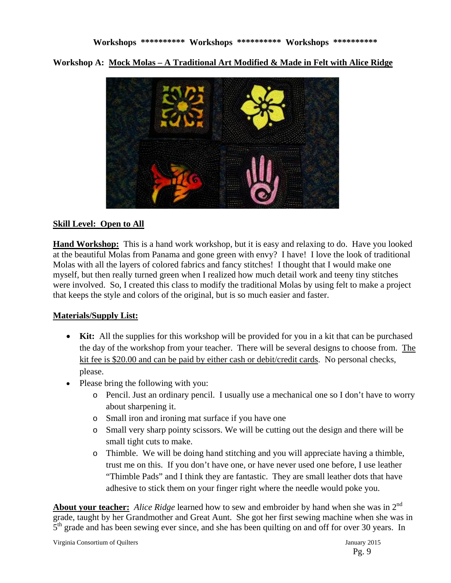**Workshop A: Mock Molas – A Traditional Art Modified & Made in Felt with Alice Ridge** 



#### **Skill Level: Open to All**

**Hand Workshop:** This is a hand work workshop, but it is easy and relaxing to do. Have you looked at the beautiful Molas from Panama and gone green with envy? I have! I love the look of traditional Molas with all the layers of colored fabrics and fancy stitches! I thought that I would make one myself, but then really turned green when I realized how much detail work and teeny tiny stitches were involved. So, I created this class to modify the traditional Molas by using felt to make a project that keeps the style and colors of the original, but is so much easier and faster.

#### **Materials/Supply List:**

- **Kit:** All the supplies for this workshop will be provided for you in a kit that can be purchased the day of the workshop from your teacher. There will be several designs to choose from. The kit fee is \$20.00 and can be paid by either cash or debit/credit cards. No personal checks, please.
- Please bring the following with you:
	- o Pencil. Just an ordinary pencil. I usually use a mechanical one so I don't have to worry about sharpening it.
	- o Small iron and ironing mat surface if you have one
	- o Small very sharp pointy scissors. We will be cutting out the design and there will be small tight cuts to make.
	- o Thimble. We will be doing hand stitching and you will appreciate having a thimble, trust me on this. If you don't have one, or have never used one before, I use leather "Thimble Pads" and I think they are fantastic. They are small leather dots that have adhesive to stick them on your finger right where the needle would poke you.

**About your teacher:** *Alice Ridge* learned how to sew and embroider by hand when she was in 2<sup>nd</sup> grade, taught by her Grandmother and Great Aunt. She got her first sewing machine when she was in  $5<sup>th</sup>$  grade and has been sewing ever since, and she has been quilting on and off for over 30 years. In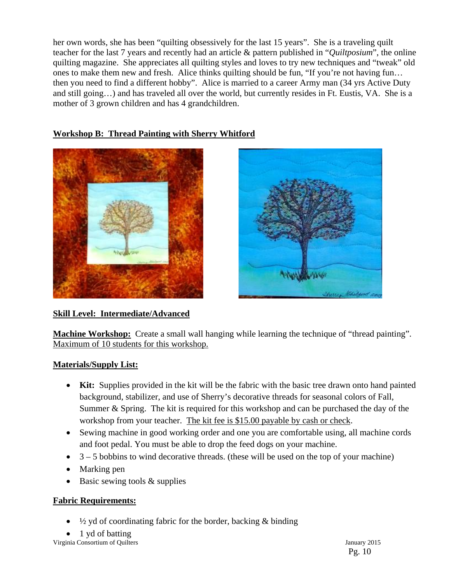her own words, she has been "quilting obsessively for the last 15 years". She is a traveling quilt teacher for the last 7 years and recently had an article & pattern published in "*Quiltposium*", the online quilting magazine. She appreciates all quilting styles and loves to try new techniques and "tweak" old ones to make them new and fresh. Alice thinks quilting should be fun, "If you're not having fun… then you need to find a different hobby". Alice is married to a career Army man (34 yrs Active Duty and still going…) and has traveled all over the world, but currently resides in Ft. Eustis, VA. She is a mother of 3 grown children and has 4 grandchildren.

#### **Workshop B: Thread Painting with Sherry Whitford**





#### **Skill Level: Intermediate/Advanced**

**Machine Workshop:** Create a small wall hanging while learning the technique of "thread painting". Maximum of 10 students for this workshop.

#### **Materials/Supply List:**

- **Kit:** Supplies provided in the kit will be the fabric with the basic tree drawn onto hand painted background, stabilizer, and use of Sherry's decorative threads for seasonal colors of Fall, Summer & Spring. The kit is required for this workshop and can be purchased the day of the workshop from your teacher. The kit fee is \$15.00 payable by cash or check.
- Sewing machine in good working order and one you are comfortable using, all machine cords and foot pedal. You must be able to drop the feed dogs on your machine.
- $\bullet$  3 5 bobbins to wind decorative threads. (these will be used on the top of your machine)
- Marking pen
- Basic sewing tools & supplies

#### **Fabric Requirements:**

- $\bullet$   $\frac{1}{2}$  yd of coordinating fabric for the border, backing & binding
- 1 yd of batting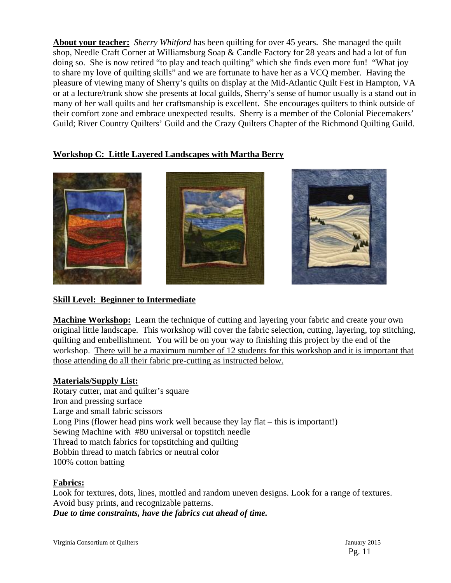**About your teacher:** *Sherry Whitford* has been quilting for over 45 years. She managed the quilt shop, Needle Craft Corner at Williamsburg Soap & Candle Factory for 28 years and had a lot of fun doing so. She is now retired "to play and teach quilting" which she finds even more fun! "What joy to share my love of quilting skills" and we are fortunate to have her as a VCQ member. Having the pleasure of viewing many of Sherry's quilts on display at the Mid-Atlantic Quilt Fest in Hampton, VA or at a lecture/trunk show she presents at local guilds, Sherry's sense of humor usually is a stand out in many of her wall quilts and her craftsmanship is excellent. She encourages quilters to think outside of their comfort zone and embrace unexpected results. Sherry is a member of the Colonial Piecemakers' Guild; River Country Quilters' Guild and the Crazy Quilters Chapter of the Richmond Quilting Guild.

#### **Workshop C: Little Layered Landscapes with Martha Berry**



#### **Skill Level: Beginner to Intermediate**

**Machine Workshop:** Learn the technique of cutting and layering your fabric and create your own original little landscape. This workshop will cover the fabric selection, cutting, layering, top stitching, quilting and embellishment. You will be on your way to finishing this project by the end of the workshop. There will be a maximum number of 12 students for this workshop and it is important that those attending do all their fabric pre-cutting as instructed below.

#### **Materials/Supply List:**

Rotary cutter, mat and quilter's square Iron and pressing surface Large and small fabric scissors Long Pins (flower head pins work well because they lay flat – this is important!) Sewing Machine with #80 universal or topstitch needle Thread to match fabrics for topstitching and quilting Bobbin thread to match fabrics or neutral color 100% cotton batting

#### **Fabrics:**

Look for textures, dots, lines, mottled and random uneven designs. Look for a range of textures. Avoid busy prints, and recognizable patterns.

*Due to time constraints, have the fabrics cut ahead of time.*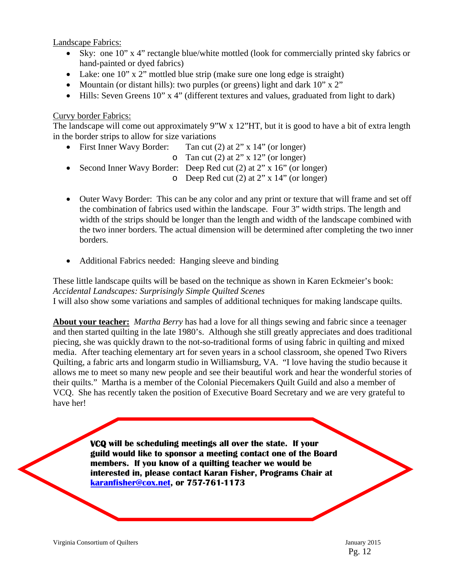Landscape Fabrics:

- Sky: one 10" x 4" rectangle blue/white mottled (look for commercially printed sky fabrics or hand-painted or dyed fabrics)
- Lake: one  $10$ " x 2" mottled blue strip (make sure one long edge is straight)
- Mountain (or distant hills): two purples (or greens) light and dark  $10"$  x  $2"$
- Hills: Seven Greens 10" x 4" (different textures and values, graduated from light to dark)

#### Curvy border Fabrics:

The landscape will come out approximately 9"W x 12"HT, but it is good to have a bit of extra length in the border strips to allow for size variations

- First Inner Wavy Border: Tan cut (2) at 2" x 14" (or longer) o Tan cut  $(2)$  at 2" x 12" (or longer) • Second Inner Wavy Border: Deep Red cut (2) at 2" x 16" (or longer)
	- o Deep Red cut (2) at 2" x 14" (or longer)
- Outer Wavy Border: This can be any color and any print or texture that will frame and set off the combination of fabrics used within the landscape. Four 3" width strips. The length and width of the strips should be longer than the length and width of the landscape combined with the two inner borders. The actual dimension will be determined after completing the two inner borders.
- Additional Fabrics needed: Hanging sleeve and binding

These little landscape quilts will be based on the technique as shown in Karen Eckmeier's book: *Accidental Landscapes: Surprisingly Simple Quilted Scenes* I will also show some variations and samples of additional techniques for making landscape quilts.

**About your teacher:** *Martha Berry* has had a love for all things sewing and fabric since a teenager and then started quilting in the late 1980's. Although she still greatly appreciates and does traditional piecing, she was quickly drawn to the not-so-traditional forms of using fabric in quilting and mixed media. After teaching elementary art for seven years in a school classroom, she opened Two Rivers Quilting, a fabric arts and longarm studio in Williamsburg, VA. "I love having the studio because it allows me to meet so many new people and see their beautiful work and hear the wonderful stories of their quilts." Martha is a member of the Colonial Piecemakers Quilt Guild and also a member of VCQ. She has recently taken the position of Executive Board Secretary and we are very grateful to have her!

> **VCQ will be scheduling meetings all over the state. If your guild would like to sponsor a meeting contact one of the Board members. If you know of a quilting teacher we would be interested in, please contact Karan Fisher, Programs Chair at karanfisher@cox.net, or 757-761-1173**

Pg. 12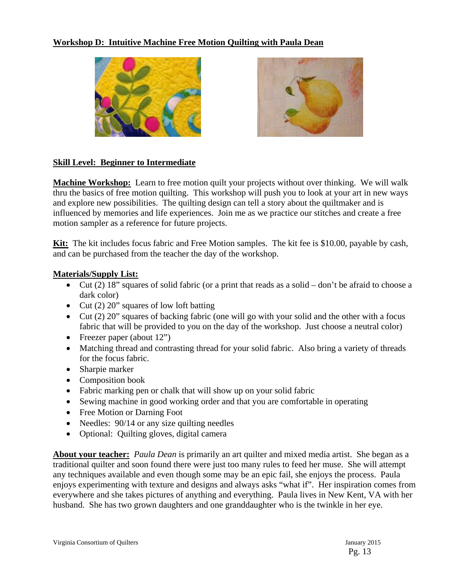#### **Workshop D: Intuitive Machine Free Motion Quilting with Paula Dean**





#### **Skill Level: Beginner to Intermediate**

**Machine Workshop:** Learn to free motion quilt your projects without over thinking. We will walk thru the basics of free motion quilting. This workshop will push you to look at your art in new ways and explore new possibilities. The quilting design can tell a story about the quiltmaker and is influenced by memories and life experiences. Join me as we practice our stitches and create a free motion sampler as a reference for future projects.

**Kit:** The kit includes focus fabric and Free Motion samples. The kit fee is \$10.00, payable by cash, and can be purchased from the teacher the day of the workshop.

#### **Materials/Supply List:**

- $\bullet$  Cut (2) 18" squares of solid fabric (or a print that reads as a solid don't be afraid to choose a dark color)
- Cut  $(2)$  20" squares of low loft batting
- Cut (2) 20" squares of backing fabric (one will go with your solid and the other with a focus fabric that will be provided to you on the day of the workshop. Just choose a neutral color)
- Freezer paper (about 12")
- Matching thread and contrasting thread for your solid fabric. Also bring a variety of threads for the focus fabric.
- Sharpie marker
- Composition book
- Fabric marking pen or chalk that will show up on your solid fabric
- Sewing machine in good working order and that you are comfortable in operating
- Free Motion or Darning Foot
- Needles:  $90/14$  or any size quilting needles
- Optional: Quilting gloves, digital camera

**About your teacher:** *Paula Dean* is primarily an art quilter and mixed media artist. She began as a traditional quilter and soon found there were just too many rules to feed her muse. She will attempt any techniques available and even though some may be an epic fail, she enjoys the process. Paula enjoys experimenting with texture and designs and always asks "what if". Her inspiration comes from everywhere and she takes pictures of anything and everything. Paula lives in New Kent, VA with her husband. She has two grown daughters and one granddaughter who is the twinkle in her eye.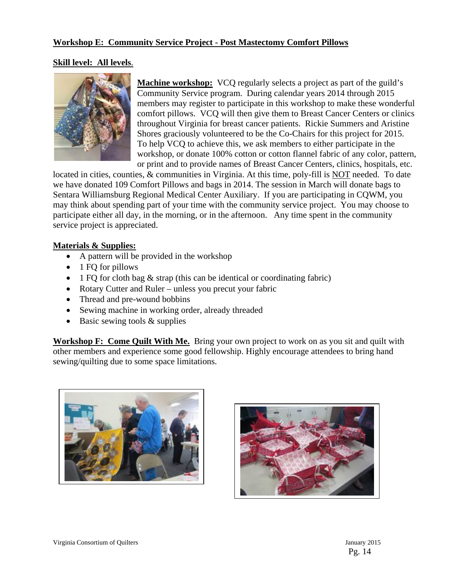#### **Workshop E: Community Service Project - Post Mastectomy Comfort Pillows**

#### **Skill level: All levels**.



**Machine workshop:** VCQ regularly selects a project as part of the guild's Community Service program. During calendar years 2014 through 2015 members may register to participate in this workshop to make these wonderful comfort pillows. VCQ will then give them to Breast Cancer Centers or clinics throughout Virginia for breast cancer patients. Rickie Summers and Aristine Shores graciously volunteered to be the Co-Chairs for this project for 2015. To help VCQ to achieve this, we ask members to either participate in the workshop, or donate 100% cotton or cotton flannel fabric of any color, pattern, or print and to provide names of Breast Cancer Centers, clinics, hospitals, etc.

located in cities, counties, & communities in Virginia. At this time, poly-fill is NOT needed. To date we have donated 109 Comfort Pillows and bags in 2014. The session in March will donate bags to Sentara Williamsburg Regional Medical Center Auxiliary. If you are participating in CQWM, you may think about spending part of your time with the community service project. You may choose to participate either all day, in the morning, or in the afternoon. Any time spent in the community service project is appreciated.

#### **Materials & Supplies:**

- A pattern will be provided in the workshop
- $\bullet$  1 FQ for pillows
- 1 FQ for cloth bag  $\&$  strap (this can be identical or coordinating fabric)
- Rotary Cutter and Ruler unless you precut your fabric
- Thread and pre-wound bobbins
- Sewing machine in working order, already threaded
- $\bullet$  Basic sewing tools & supplies

**Workshop F: Come Quilt With Me.** Bring your own project to work on as you sit and quilt with other members and experience some good fellowship. Highly encourage attendees to bring hand sewing/quilting due to some space limitations.



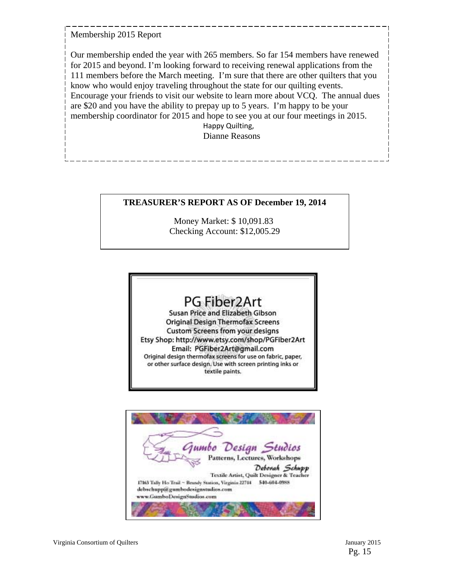Membership 2015 Report

Our membership ended the year with 265 members. So far 154 members have renewed for 2015 and beyond. I'm looking forward to receiving renewal applications from the 111 members before the March meeting. I'm sure that there are other quilters that you know who would enjoy traveling throughout the state for our quilting events. Encourage your friends to visit our website to learn more about VCQ. The annual dues are \$20 and you have the ability to prepay up to 5 years. I'm happy to be your membership coordinator for 2015 and hope to see you at our four meetings in 2015.

 Happy Quilting, Dianne Reasons

#### **TREASURER'S REPORT AS OF December 19, 2014**

Money Market: \$ 10,091.83 Checking Account: \$12,005.29

# PG Fiber2Art

Susan Price and Elizabeth Gibson **Original Design Thermofax Screens Custom Screens from your designs** Etsy Shop: http://www.etsy.com/shop/PGFiber2Art Email: PGFiber2Art@gmail.com Original design thermofax screens for use on fabric, paper, or other surface design. Use with screen printing inks or textile paints.

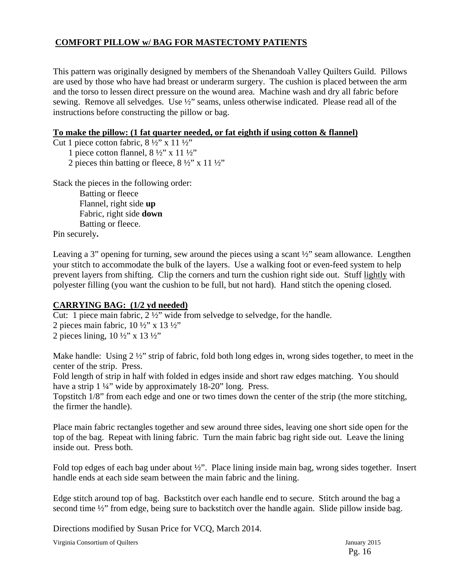#### **COMFORT PILLOW w/ BAG FOR MASTECTOMY PATIENTS**

This pattern was originally designed by members of the Shenandoah Valley Quilters Guild. Pillows are used by those who have had breast or underarm surgery. The cushion is placed between the arm and the torso to lessen direct pressure on the wound area. Machine wash and dry all fabric before sewing. Remove all selvedges. Use ½" seams, unless otherwise indicated. Please read all of the instructions before constructing the pillow or bag.

#### **To make the pillow: (1 fat quarter needed, or fat eighth if using cotton & flannel)**

Cut 1 piece cotton fabric, 8 ½" x 11 ½"

1 piece cotton flannel,  $8\frac{1}{2}$ " x 11  $\frac{1}{2}$ "

2 pieces thin batting or fleece,  $8\frac{1}{2}$ " x 11 $\frac{1}{2}$ "

Stack the pieces in the following order:

Batting or fleece Flannel, right side **up**  Fabric, right side **down**  Batting or fleece.

Pin securely**.** 

Leaving a 3" opening for turning, sew around the pieces using a scant  $\frac{1}{2}$ " seam allowance. Lengthen your stitch to accommodate the bulk of the layers. Use a walking foot or even-feed system to help prevent layers from shifting. Clip the corners and turn the cushion right side out. Stuff lightly with polyester filling (you want the cushion to be full, but not hard). Hand stitch the opening closed.

#### **CARRYING BAG: (1/2 yd needed)**

Cut: 1 piece main fabric, 2 ½" wide from selvedge to selvedge, for the handle.

2 pieces main fabric,  $10\frac{1}{2}$ " x  $13\frac{1}{2}$ " 2 pieces lining,  $10 \frac{1}{2}$ " x  $13 \frac{1}{2}$ "

Make handle: Using 2  $\frac{1}{2}$  'strip of fabric, fold both long edges in, wrong sides together, to meet in the center of the strip. Press.

Fold length of strip in half with folded in edges inside and short raw edges matching. You should have a strip 1 ¼" wide by approximately 18-20" long. Press.

Topstitch 1/8" from each edge and one or two times down the center of the strip (the more stitching, the firmer the handle).

Place main fabric rectangles together and sew around three sides, leaving one short side open for the top of the bag. Repeat with lining fabric. Turn the main fabric bag right side out. Leave the lining inside out. Press both.

Fold top edges of each bag under about ½". Place lining inside main bag, wrong sides together. Insert handle ends at each side seam between the main fabric and the lining.

Edge stitch around top of bag. Backstitch over each handle end to secure. Stitch around the bag a second time  $\frac{1}{2}$ " from edge, being sure to backstitch over the handle again. Slide pillow inside bag.

Directions modified by Susan Price for VCQ, March 2014.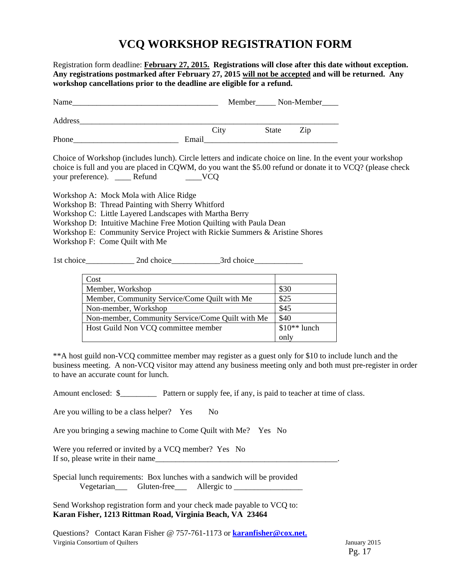# **VCQ WORKSHOP REGISTRATION FORM**

Registration form deadline: **February 27, 2015. Registrations will close after this date without exception. Any registrations postmarked after February 27, 2015 will not be accepted and will be returned. Any workshop cancellations prior to the deadline are eligible for a refund.**  Name\_\_\_\_\_\_\_\_\_\_\_\_\_\_\_\_\_\_\_\_\_\_\_\_\_\_\_\_\_\_\_\_\_\_\_\_ Member\_\_\_\_\_ Non-Member\_\_\_\_ Address\_\_\_\_\_\_\_\_\_\_\_\_\_\_\_\_\_\_\_\_\_\_\_\_\_\_\_\_\_\_\_\_\_\_\_\_\_\_\_\_\_\_\_\_\_\_\_\_\_\_\_\_\_\_\_\_\_\_\_\_\_\_\_\_ City State Zip Phone\_\_\_\_\_\_\_\_\_\_\_\_\_\_\_\_\_\_\_\_\_\_\_\_\_\_ Email\_\_\_\_\_\_\_\_\_\_\_\_\_\_\_\_\_\_\_\_\_\_\_\_\_\_\_\_\_\_\_\_\_ Choice of Workshop (includes lunch). Circle letters and indicate choice on line. In the event your workshop choice is full and you are placed in CQWM, do you want the \$5.00 refund or donate it to VCQ? (please check your preference). \_\_\_\_\_ Refund \_\_\_\_\_\_VCQ Workshop A: Mock Mola with Alice Ridge Workshop B: Thread Painting with Sherry Whitford Workshop C: Little Layered Landscapes with Martha Berry Workshop D: Intuitive Machine Free Motion Quilting with Paula Dean Workshop E: Community Service Project with Rickie Summers & Aristine Shores Workshop F: Come Quilt with Me 1st choice 2nd choice 3rd choice

| Cost                                             |               |
|--------------------------------------------------|---------------|
| Member, Workshop                                 | \$30          |
| Member, Community Service/Come Quilt with Me     | \$25          |
| Non-member, Workshop                             | \$45          |
| Non-member, Community Service/Come Quilt with Me | \$40          |
| Host Guild Non VCQ committee member              | $$10**$ lunch |
|                                                  | only          |

\*\*A host guild non-VCQ committee member may register as a guest only for \$10 to include lunch and the business meeting. A non-VCQ visitor may attend any business meeting only and both must pre-register in order to have an accurate count for lunch.

Amount enclosed:  $\$\$  Pattern or supply fee, if any, is paid to teacher at time of class.

Are you willing to be a class helper? Yes No

Are you bringing a sewing machine to Come Quilt with Me? Yes No

Were you referred or invited by a VCQ member? Yes No If so, please write in their name

Special lunch requirements: Box lunches with a sandwich will be provided Vegetarian Gluten-free Allergic to

Send Workshop registration form and your check made payable to VCQ to: **Karan Fisher, 1213 Rittman Road, Virginia Beach, VA 23464** 

Virginia Consortium of Quilters January 2015 Questions? Contact Karan Fisher @ 757-761-1173 or **karanfisher@cox.net.**

Pg. 17